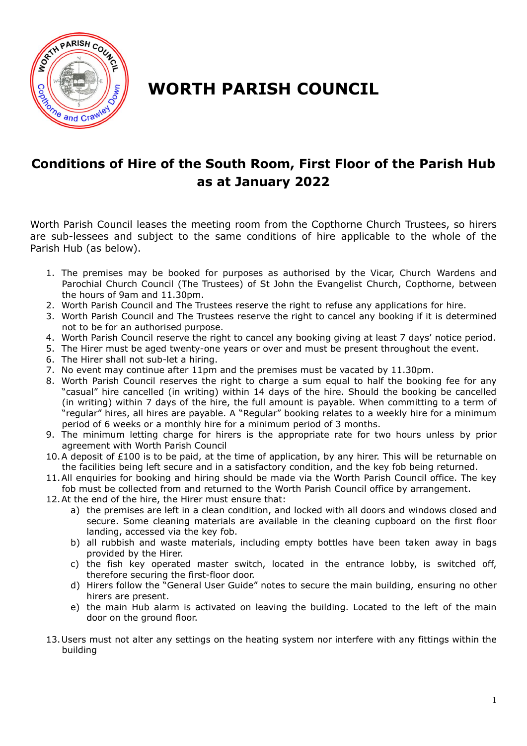

## **WORTH PARISH COUNCIL**

## **Conditions of Hire of the South Room, First Floor of the Parish Hub as at January 2022**

Worth Parish Council leases the meeting room from the Copthorne Church Trustees, so hirers are sub-lessees and subject to the same conditions of hire applicable to the whole of the Parish Hub (as below).

- 1. The premises may be booked for purposes as authorised by the Vicar, Church Wardens and Parochial Church Council (The Trustees) of St John the Evangelist Church, Copthorne, between the hours of 9am and 11.30pm.
- 2. Worth Parish Council and The Trustees reserve the right to refuse any applications for hire.
- 3. Worth Parish Council and The Trustees reserve the right to cancel any booking if it is determined not to be for an authorised purpose.
- 4. Worth Parish Council reserve the right to cancel any booking giving at least 7 days' notice period.
- 5. The Hirer must be aged twenty-one years or over and must be present throughout the event.
- 6. The Hirer shall not sub-let a hiring.
- 7. No event may continue after 11pm and the premises must be vacated by 11.30pm.
- 8. Worth Parish Council reserves the right to charge a sum equal to half the booking fee for any "casual" hire cancelled (in writing) within 14 days of the hire. Should the booking be cancelled (in writing) within 7 days of the hire, the full amount is payable. When committing to a term of "regular" hires, all hires are payable. A "Regular" booking relates to a weekly hire for a minimum period of 6 weeks or a monthly hire for a minimum period of 3 months.
- 9. The minimum letting charge for hirers is the appropriate rate for two hours unless by prior agreement with Worth Parish Council
- 10.A deposit of £100 is to be paid, at the time of application, by any hirer. This will be returnable on the facilities being left secure and in a satisfactory condition, and the key fob being returned.
- 11.All enquiries for booking and hiring should be made via the Worth Parish Council office. The key fob must be collected from and returned to the Worth Parish Council office by arrangement.
- 12.At the end of the hire, the Hirer must ensure that:
	- a) the premises are left in a clean condition, and locked with all doors and windows closed and secure. Some cleaning materials are available in the cleaning cupboard on the first floor landing, accessed via the key fob.
	- b) all rubbish and waste materials, including empty bottles have been taken away in bags provided by the Hirer.
	- c) the fish key operated master switch, located in the entrance lobby, is switched off, therefore securing the first-floor door.
	- d) Hirers follow the "General User Guide" notes to secure the main building, ensuring no other hirers are present.
	- e) the main Hub alarm is activated on leaving the building. Located to the left of the main door on the ground floor.
- 13.Users must not alter any settings on the heating system nor interfere with any fittings within the building